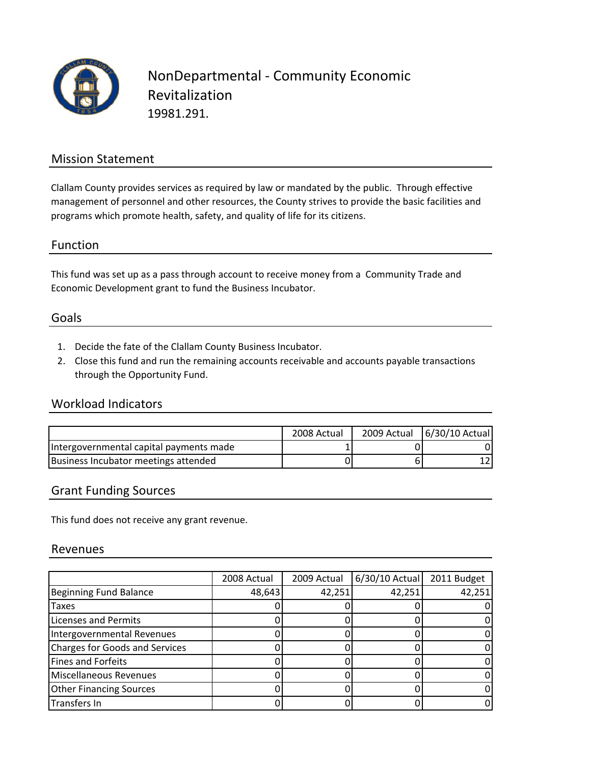

### Mission Statement

Clallam County provides services as required by law or mandated by the public. Through effective management of personnel and other resources, the County strives to provide the basic facilities and programs which promote health, safety, and quality of life for its citizens.

#### Function

This fund was set up as a pass through account to receive money from a Community Trade and Economic Development grant to fund the Business Incubator.

#### Goals

- 1. Decide the fate of the Clallam County Business Incubator.
- 2. Close this fund and run the remaining accounts receivable and accounts payable transactions through the Opportunity Fund.

#### Workload Indicators

|                                         | 2008 Actual | 2009 Actual   6/30/10 Actual |
|-----------------------------------------|-------------|------------------------------|
| Intergovernmental capital payments made |             | 0                            |
| Business Incubator meetings attended    |             |                              |

#### Grant Funding Sources

This fund does not receive any grant revenue.

#### Revenues

|                                | 2008 Actual | 2009 Actual | $6/30/10$ Actual | 2011 Budget |
|--------------------------------|-------------|-------------|------------------|-------------|
| Beginning Fund Balance         | 48,643      | 42,251      | 42,251           | 42,251      |
| <b>Taxes</b>                   |             |             |                  |             |
| <b>Licenses and Permits</b>    |             |             |                  |             |
| Intergovernmental Revenues     |             |             |                  |             |
| Charges for Goods and Services |             |             |                  |             |
| Fines and Forfeits             |             |             |                  |             |
| Miscellaneous Revenues         |             |             |                  |             |
| <b>Other Financing Sources</b> |             |             |                  |             |
| Transfers In                   |             |             |                  |             |